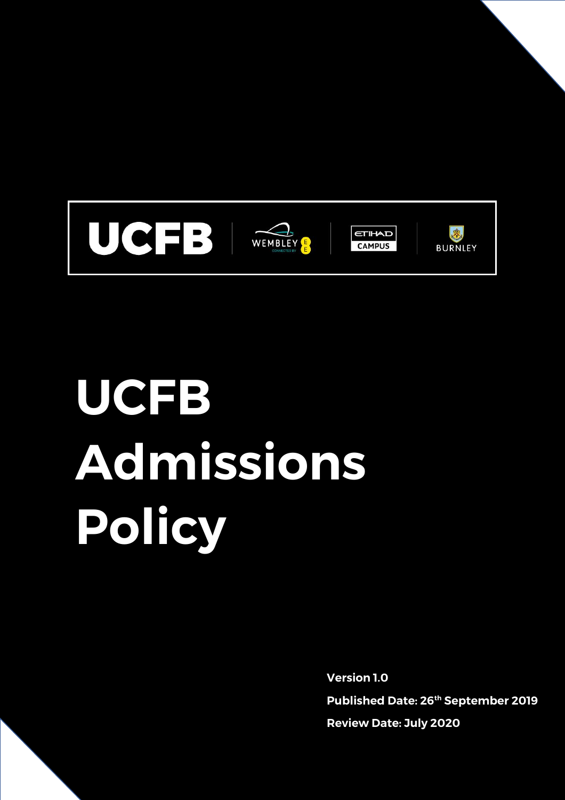

# **UCFB Admissions Policy**

**Version 1.0 Published Date: 26th September 2019 Review Date: July 2020**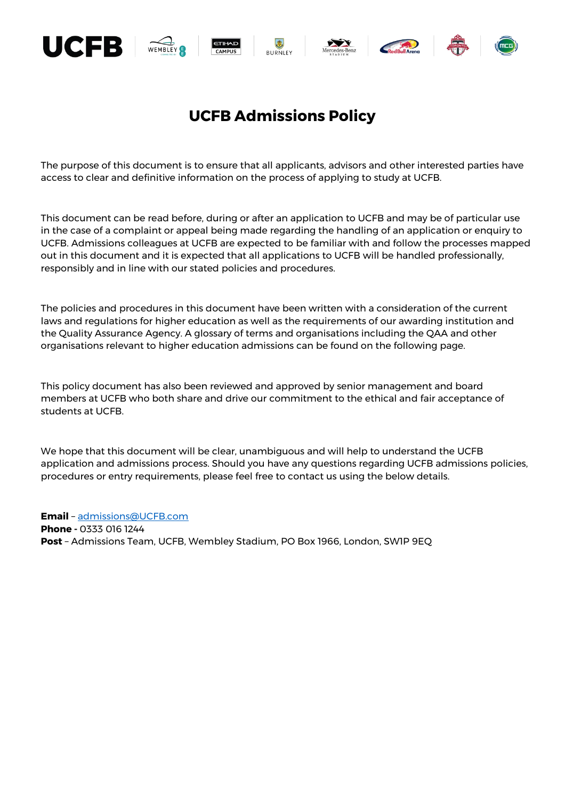

# **UCFB Admissions Policy**

The purpose of this document is to ensure that all applicants, advisors and other interested parties have access to clear and definitive information on the process of applying to study at UCFB.

This document can be read before, during or after an application to UCFB and may be of particular use in the case of a complaint or appeal being made regarding the handling of an application or enquiry to UCFB. Admissions colleagues at UCFB are expected to be familiar with and follow the processes mapped out in this document and it is expected that all applications to UCFB will be handled professionally, responsibly and in line with our stated policies and procedures.

The policies and procedures in this document have been written with a consideration of the current laws and regulations for higher education as well as the requirements of our awarding institution and the Quality Assurance Agency. A glossary of terms and organisations including the QAA and other organisations relevant to higher education admissions can be found on the following page.

This policy document has also been reviewed and approved by senior management and board members at UCFB who both share and drive our commitment to the ethical and fair acceptance of students at UCFB.

We hope that this document will be clear, unambiguous and will help to understand the UCFB application and admissions process. Should you have any questions regarding UCFB admissions policies, procedures or entry requirements, please feel free to contact us using the below details.

**Email** – [admissions@UCFB.com](mailto:admissions@UCFB.com) **Phone -** 0333 016 1244 **Post** – Admissions Team, UCFB, Wembley Stadium, PO Box 1966, London, SW1P 9EQ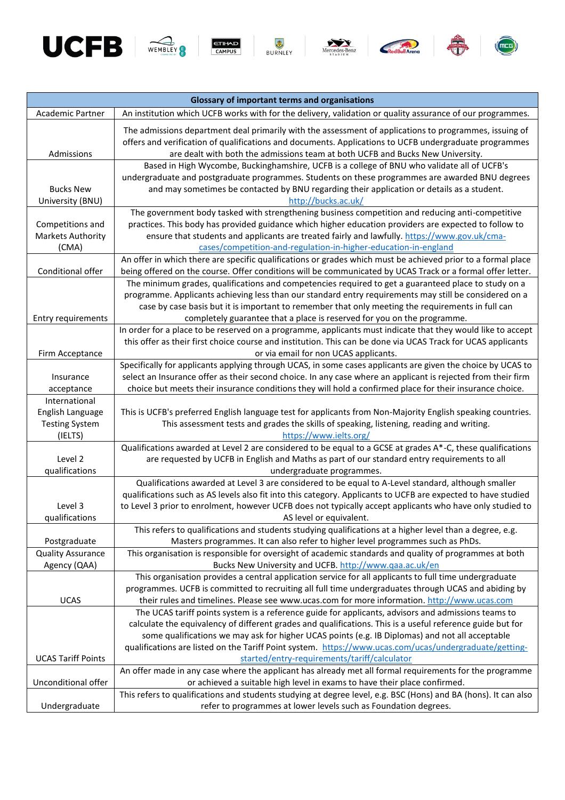













| <b>Glossary of important terms and organisations</b> |                                                                                                                                                                                                                                                                                                    |
|------------------------------------------------------|----------------------------------------------------------------------------------------------------------------------------------------------------------------------------------------------------------------------------------------------------------------------------------------------------|
| Academic Partner                                     | An institution which UCFB works with for the delivery, validation or quality assurance of our programmes.                                                                                                                                                                                          |
| Admissions                                           | The admissions department deal primarily with the assessment of applications to programmes, issuing of<br>offers and verification of qualifications and documents. Applications to UCFB undergraduate programmes<br>are dealt with both the admissions team at both UCFB and Bucks New University. |
|                                                      | Based in High Wycombe, Buckinghamshire, UCFB is a college of BNU who validate all of UCFB's                                                                                                                                                                                                        |
| <b>Bucks New</b><br>University (BNU)                 | undergraduate and postgraduate programmes. Students on these programmes are awarded BNU degrees<br>and may sometimes be contacted by BNU regarding their application or details as a student.<br>http://bucks.ac.uk/                                                                               |
|                                                      | The government body tasked with strengthening business competition and reducing anti-competitive                                                                                                                                                                                                   |
| Competitions and<br>Markets Authority<br>(CMA)       | practices. This body has provided guidance which higher education providers are expected to follow to<br>ensure that students and applicants are treated fairly and lawfully. https://www.gov.uk/cma-<br>cases/competition-and-regulation-in-higher-education-in-england                           |
|                                                      | An offer in which there are specific qualifications or grades which must be achieved prior to a formal place                                                                                                                                                                                       |
| Conditional offer                                    | being offered on the course. Offer conditions will be communicated by UCAS Track or a formal offer letter.                                                                                                                                                                                         |
|                                                      | The minimum grades, qualifications and competencies required to get a guaranteed place to study on a                                                                                                                                                                                               |
|                                                      | programme. Applicants achieving less than our standard entry requirements may still be considered on a<br>case by case basis but it is important to remember that only meeting the requirements in full can                                                                                        |
| Entry requirements                                   | completely guarantee that a place is reserved for you on the programme.                                                                                                                                                                                                                            |
|                                                      | In order for a place to be reserved on a programme, applicants must indicate that they would like to accept                                                                                                                                                                                        |
|                                                      | this offer as their first choice course and institution. This can be done via UCAS Track for UCAS applicants                                                                                                                                                                                       |
| Firm Acceptance                                      | or via email for non UCAS applicants.                                                                                                                                                                                                                                                              |
|                                                      | Specifically for applicants applying through UCAS, in some cases applicants are given the choice by UCAS to                                                                                                                                                                                        |
| Insurance                                            | select an Insurance offer as their second choice. In any case where an applicant is rejected from their firm                                                                                                                                                                                       |
| acceptance<br>International                          | choice but meets their insurance conditions they will hold a confirmed place for their insurance choice.                                                                                                                                                                                           |
| English Language                                     | This is UCFB's preferred English language test for applicants from Non-Majority English speaking countries.                                                                                                                                                                                        |
| <b>Testing System</b>                                | This assessment tests and grades the skills of speaking, listening, reading and writing.                                                                                                                                                                                                           |
| (IELTS)                                              | https://www.ielts.org/                                                                                                                                                                                                                                                                             |
|                                                      | Qualifications awarded at Level 2 are considered to be equal to a GCSE at grades A*-C, these qualifications                                                                                                                                                                                        |
| Level 2                                              | are requested by UCFB in English and Maths as part of our standard entry requirements to all                                                                                                                                                                                                       |
| qualifications                                       | undergraduate programmes.                                                                                                                                                                                                                                                                          |
|                                                      | Qualifications awarded at Level 3 are considered to be equal to A-Level standard, although smaller<br>qualifications such as AS levels also fit into this category. Applicants to UCFB are expected to have studied                                                                                |
| Level 3                                              | to Level 3 prior to enrolment, however UCFB does not typically accept applicants who have only studied to                                                                                                                                                                                          |
| qualifications                                       | AS level or equivalent.                                                                                                                                                                                                                                                                            |
|                                                      | This refers to qualifications and students studying qualifications at a higher level than a degree, e.g.                                                                                                                                                                                           |
| Postgraduate                                         | Masters programmes. It can also refer to higher level programmes such as PhDs.                                                                                                                                                                                                                     |
| <b>Quality Assurance</b>                             | This organisation is responsible for oversight of academic standards and quality of programmes at both                                                                                                                                                                                             |
| Agency (QAA)                                         | Bucks New University and UCFB. http://www.qaa.ac.uk/en                                                                                                                                                                                                                                             |
|                                                      | This organisation provides a central application service for all applicants to full time undergraduate                                                                                                                                                                                             |
| <b>UCAS</b>                                          | programmes. UCFB is committed to recruiting all full time undergraduates through UCAS and abiding by<br>their rules and timelines. Please see www.ucas.com for more information. http://www.ucas.com                                                                                               |
|                                                      | The UCAS tariff points system is a reference guide for applicants, advisors and admissions teams to                                                                                                                                                                                                |
|                                                      | calculate the equivalency of different grades and qualifications. This is a useful reference guide but for                                                                                                                                                                                         |
|                                                      | some qualifications we may ask for higher UCAS points (e.g. IB Diplomas) and not all acceptable                                                                                                                                                                                                    |
|                                                      | qualifications are listed on the Tariff Point system. https://www.ucas.com/ucas/undergraduate/getting-                                                                                                                                                                                             |
| <b>UCAS Tariff Points</b>                            | started/entry-requirements/tariff/calculator                                                                                                                                                                                                                                                       |
|                                                      | An offer made in any case where the applicant has already met all formal requirements for the programme                                                                                                                                                                                            |
| Unconditional offer                                  | or achieved a suitable high level in exams to have their place confirmed.                                                                                                                                                                                                                          |
|                                                      | This refers to qualifications and students studying at degree level, e.g. BSC (Hons) and BA (hons). It can also                                                                                                                                                                                    |
| Undergraduate                                        | refer to programmes at lower levels such as Foundation degrees.                                                                                                                                                                                                                                    |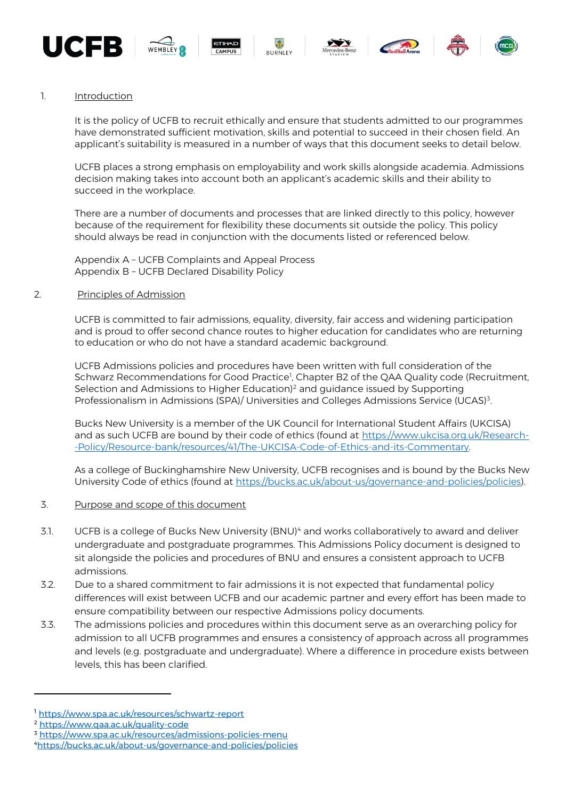













1. Introduction

It is the policy of UCFB to recruit ethically and ensure that students admitted to our programmes have demonstrated sufficient motivation, skills and potential to succeed in their chosen field. An applicant's suitability is measured in a number of ways that this document seeks to detail below.

UCFB places a strong emphasis on employability and work skills alongside academia. Admissions decision making takes into account both an applicant's academic skills and their ability to succeed in the workplace.

There are a number of documents and processes that are linked directly to this policy, however because of the requirement for flexibility these documents sit outside the policy. This policy should always be read in conjunction with the documents listed or referenced below.

Appendix A – UCFB Complaints and Appeal Process Appendix B – UCFB Declared Disability Policy

#### 2. Principles of Admission

UCFB is committed to fair admissions, equality, diversity, fair access and widening participation and is proud to offer second chance routes to higher education for candidates who are returning to education or who do not have a standard academic background.

UCFB Admissions policies and procedures have been written with full consideration of the Schwarz Recommendations for Good Practice<sup>1</sup>, Chapter B2 of the QAA Quality code (Recruitment, Selection and Admissions to Higher Education)<sup>2</sup> and guidance issued by Supporting Professionalism in Admissions (SPA)/ Universities and Colleges Admissions Service (UCAS)<sup>3</sup>. .

Bucks New University is a member of the UK Council for International Student Affairs (UKCISA) and as such UCFB are bound by their code of ethics (found at [https://www.ukcisa.org.uk/Research-](https://www.ukcisa.org.uk/Research--Policy/Resource-bank/resources/41/The-UKCISA-Code-of-Ethics-and-its-Commentary) [-Policy/Resource-bank/resources/41/The-UKCISA-Code-of-Ethics-and-its-Commentary.](https://www.ukcisa.org.uk/Research--Policy/Resource-bank/resources/41/The-UKCISA-Code-of-Ethics-and-its-Commentary) 

As a college of Buckinghamshire New University, UCFB recognises and is bound by the Bucks New University Code of ethics (found at [https://bucks.ac.uk/about-us/governance-and-policies/policies\)](https://bucks.ac.uk/about-us/governance-and-policies/policies).

- 3. Purpose and scope of this document
- 3.1. UCFB is a college of Bucks New University (BNU)<sup>4</sup> and works collaboratively to award and deliver undergraduate and postgraduate programmes. This Admissions Policy document is designed to sit alongside the policies and procedures of BNU and ensures a consistent approach to UCFB admissions.
- 3.2. Due to a shared commitment to fair admissions it is not expected that fundamental policy differences will exist between UCFB and our academic partner and every effort has been made to ensure compatibility between our respective Admissions policy documents.
- 3.3. The admissions policies and procedures within this document serve as an overarching policy for admission to all UCFB programmes and ensures a consistency of approach across all programmes and levels (e.g. postgraduate and undergraduate). Where a difference in procedure exists between levels, this has been clarified.

 $\overline{a}$ 

<sup>1</sup> <https://www.spa.ac.uk/resources/schwartz-report>

<sup>2</sup> <https://www.qaa.ac.uk/quality-code>

<sup>3</sup> <https://www.spa.ac.uk/resources/admissions-policies-menu>

<sup>4</sup><https://bucks.ac.uk/about-us/governance-and-policies/policies>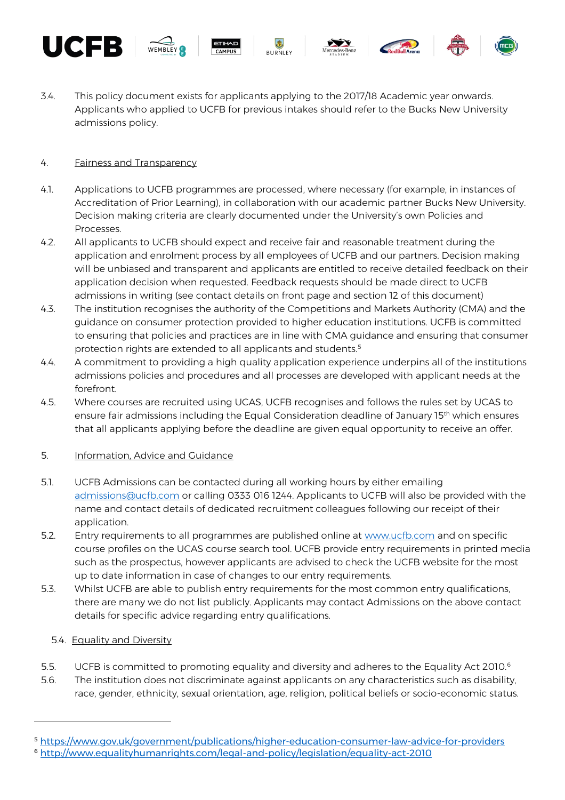

#### 4. Fairness and Transparency

UCFB.

- 4.1. Applications to UCFB programmes are processed, where necessary (for example, in instances of Accreditation of Prior Learning), in collaboration with our academic partner Bucks New University. Decision making criteria are clearly documented under the University's own Policies and Processes.
- 4.2. All applicants to UCFB should expect and receive fair and reasonable treatment during the application and enrolment process by all employees of UCFB and our partners. Decision making will be unbiased and transparent and applicants are entitled to receive detailed feedback on their application decision when requested. Feedback requests should be made direct to UCFB admissions in writing (see contact details on front page and section 12 of this document)
- 4.3. The institution recognises the authority of the Competitions and Markets Authority (CMA) and the guidance on consumer protection provided to higher education institutions. UCFB is committed to ensuring that policies and practices are in line with CMA guidance and ensuring that consumer protection rights are extended to all applicants and students.<sup>5</sup>
- 4.4. A commitment to providing a high quality application experience underpins all of the institutions admissions policies and procedures and all processes are developed with applicant needs at the forefront.
- 4.5. Where courses are recruited using UCAS, UCFB recognises and follows the rules set by UCAS to ensure fair admissions including the Equal Consideration deadline of January 15<sup>th</sup> which ensures that all applicants applying before the deadline are given equal opportunity to receive an offer.

#### 5. Information, Advice and Guidance

- 5.1. UCFB Admissions can be contacted during all working hours by either emailing [admissions@ucfb.com](mailto:admissions@ucfb.com) or calling 0333 016 1244. Applicants to UCFB will also be provided with the name and contact details of dedicated recruitment colleagues following our receipt of their application.
- 5.2. Entry requirements to all programmes are published online at [www.ucfb.com](http://www.ucfb.com/) and on specific course profiles on the UCAS course search tool. UCFB provide entry requirements in printed media such as the prospectus, however applicants are advised to check the UCFB website for the most up to date information in case of changes to our entry requirements.
- 5.3. Whilst UCFB are able to publish entry requirements for the most common entry qualifications, there are many we do not list publicly. Applicants may contact Admissions on the above contact details for specific advice regarding entry qualifications.

#### 5.4. Equality and Diversity

 $\overline{\phantom{a}}$ 

- 5.5. UCFB is committed to promoting equality and diversity and adheres to the Equality Act 2010.<sup>6</sup>
- 5.6. The institution does not discriminate against applicants on any characteristics such as disability, race, gender, ethnicity, sexual orientation, age, religion, political beliefs or socio-economic status.

<sup>5</sup> <https://www.gov.uk/government/publications/higher-education-consumer-law-advice-for-providers> <sup>6</sup> <http://www.equalityhumanrights.com/legal-and-policy/legislation/equality-act-2010>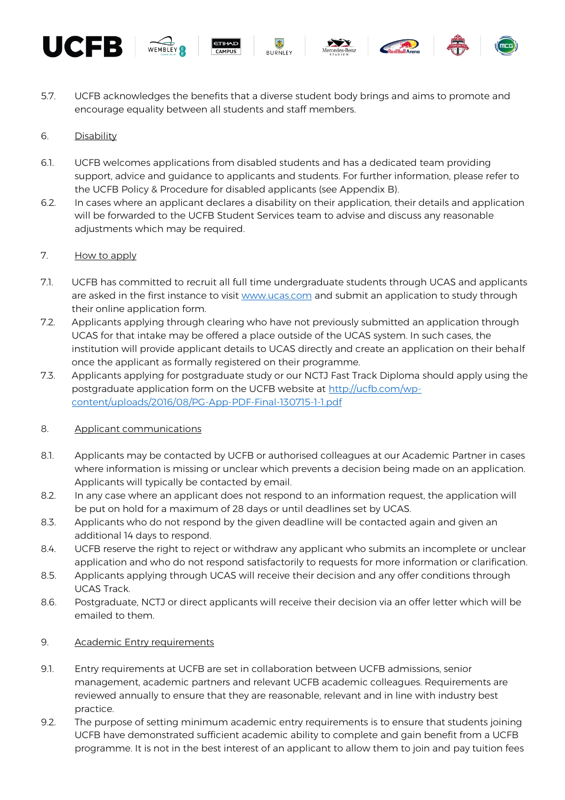











5.7. UCFB acknowledges the benefits that a diverse student body brings and aims to promote and encourage equality between all students and staff members.

# 6. Disability

- 6.1. UCFB welcomes applications from disabled students and has a dedicated team providing support, advice and guidance to applicants and students. For further information, please refer to the UCFB Policy & Procedure for disabled applicants (see Appendix B).
- 6.2. In cases where an applicant declares a disability on their application, their details and application will be forwarded to the UCFB Student Services team to advise and discuss any reasonable adjustments which may be required.

# 7. How to apply

- 7.1. UCFB has committed to recruit all full time undergraduate students through UCAS and applicants are asked in the first instance to visit [www.ucas.com](http://www.ucas.com/) and submit an application to study through their online application form.
- 7.2. Applicants applying through clearing who have not previously submitted an application through UCAS for that intake may be offered a place outside of the UCAS system. In such cases, the institution will provide applicant details to UCAS directly and create an application on their behalf once the applicant as formally registered on their programme.
- 7.3. Applicants applying for postgraduate study or our NCTJ Fast Track Diploma should apply using the postgraduate application form on the UCFB website at [http://ucfb.com/wp](http://ucfb.com/wp-content/uploads/2016/08/PG-App-PDF-Final-130715-1-1.pdf)[content/uploads/2016/08/PG-App-PDF-Final-130715-1-1.pdf](http://ucfb.com/wp-content/uploads/2016/08/PG-App-PDF-Final-130715-1-1.pdf)

# 8. Applicant communications

- 8.1. Applicants may be contacted by UCFB or authorised colleagues at our Academic Partner in cases where information is missing or unclear which prevents a decision being made on an application. Applicants will typically be contacted by email.
- 8.2. In any case where an applicant does not respond to an information request, the application will be put on hold for a maximum of 28 days or until deadlines set by UCAS.
- 8.3. Applicants who do not respond by the given deadline will be contacted again and given an additional 14 days to respond.
- 8.4. UCFB reserve the right to reject or withdraw any applicant who submits an incomplete or unclear application and who do not respond satisfactorily to requests for more information or clarification.
- 8.5. Applicants applying through UCAS will receive their decision and any offer conditions through UCAS Track.
- 8.6. Postgraduate, NCTJ or direct applicants will receive their decision via an offer letter which will be emailed to them.
- 9. Academic Entry requirements
- 9.1. Entry requirements at UCFB are set in collaboration between UCFB admissions, senior management, academic partners and relevant UCFB academic colleagues. Requirements are reviewed annually to ensure that they are reasonable, relevant and in line with industry best practice.
- 9.2. The purpose of setting minimum academic entry requirements is to ensure that students joining UCFB have demonstrated sufficient academic ability to complete and gain benefit from a UCFB programme. It is not in the best interest of an applicant to allow them to join and pay tuition fees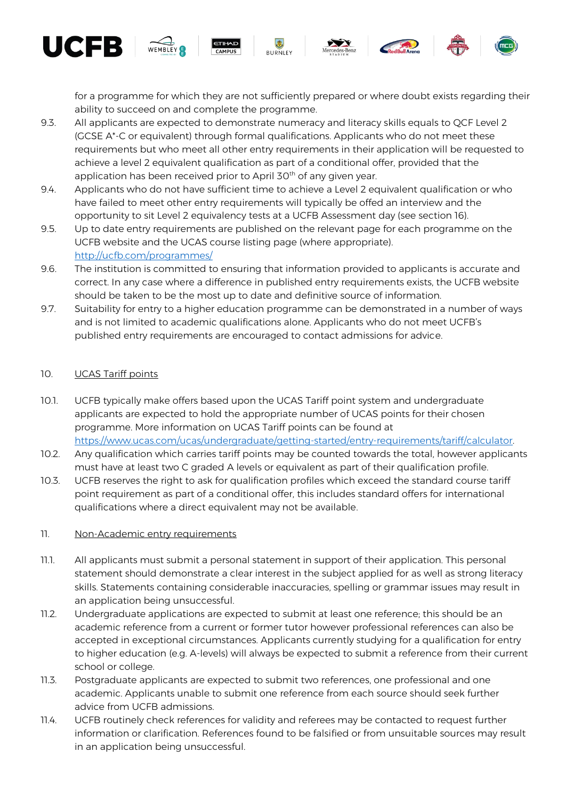for a programme for which they are not sufficiently prepared or where doubt exists regarding their ability to succeed on and complete the programme.

- 9.3. All applicants are expected to demonstrate numeracy and literacy skills equals to QCF Level 2 (GCSE A\*-C or equivalent) through formal qualifications. Applicants who do not meet these requirements but who meet all other entry requirements in their application will be requested to achieve a level 2 equivalent qualification as part of a conditional offer, provided that the application has been received prior to April 30<sup>th</sup> of any given year.
- 9.4. Applicants who do not have sufficient time to achieve a Level 2 equivalent qualification or who have failed to meet other entry requirements will typically be offed an interview and the opportunity to sit Level 2 equivalency tests at a UCFB Assessment day (see section 16).
- 9.5. Up to date entry requirements are published on the relevant page for each programme on the UCFB website and the UCAS course listing page (where appropriate). <http://ucfb.com/programmes/>
- 9.6. The institution is committed to ensuring that information provided to applicants is accurate and correct. In any case where a difference in published entry requirements exists, the UCFB website should be taken to be the most up to date and definitive source of information.
- 9.7. Suitability for entry to a higher education programme can be demonstrated in a number of ways and is not limited to academic qualifications alone. Applicants who do not meet UCFB's published entry requirements are encouraged to contact admissions for advice.

# 10. UCAS Tariff points

UCER

- 10.1. UCFB typically make offers based upon the UCAS Tariff point system and undergraduate applicants are expected to hold the appropriate number of UCAS points for their chosen programme. More information on UCAS Tariff points can be found at [https://www.ucas.com/ucas/undergraduate/getting-started/entry-requirements/tariff/calculator.](https://www.ucas.com/ucas/undergraduate/getting-started/entry-requirements/tariff/calculator)
- 10.2. Any qualification which carries tariff points may be counted towards the total, however applicants must have at least two C graded A levels or equivalent as part of their qualification profile.
- 10.3. UCFB reserves the right to ask for qualification profiles which exceed the standard course tariff point requirement as part of a conditional offer, this includes standard offers for international qualifications where a direct equivalent may not be available.

#### 11. Non-Academic entry requirements

- 11.1. All applicants must submit a personal statement in support of their application. This personal statement should demonstrate a clear interest in the subject applied for as well as strong literacy skills. Statements containing considerable inaccuracies, spelling or grammar issues may result in an application being unsuccessful.
- 11.2. Undergraduate applications are expected to submit at least one reference; this should be an academic reference from a current or former tutor however professional references can also be accepted in exceptional circumstances. Applicants currently studying for a qualification for entry to higher education (e.g. A-levels) will always be expected to submit a reference from their current school or college.
- 11.3. Postgraduate applicants are expected to submit two references, one professional and one academic. Applicants unable to submit one reference from each source should seek further advice from UCFB admissions.
- 11.4. UCFB routinely check references for validity and referees may be contacted to request further information or clarification. References found to be falsified or from unsuitable sources may result in an application being unsuccessful.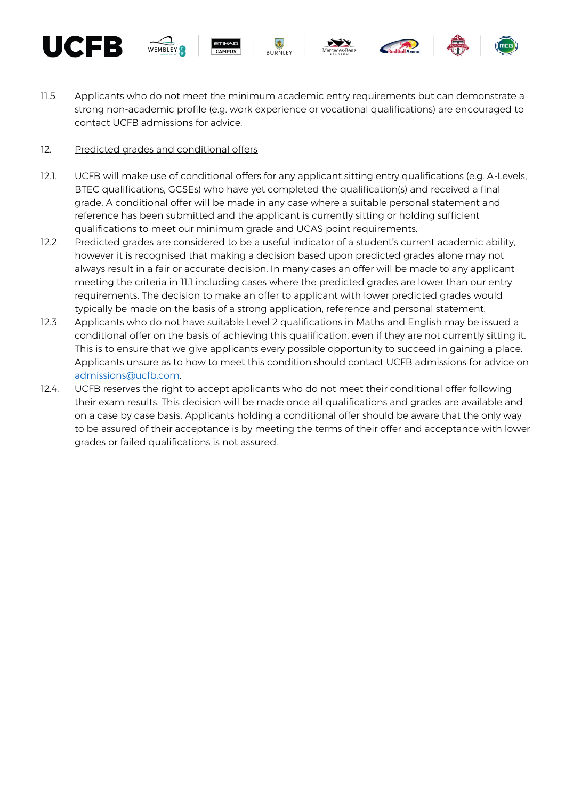











11.5. Applicants who do not meet the minimum academic entry requirements but can demonstrate a strong non-academic profile (e.g. work experience or vocational qualifications) are encouraged to contact UCFB admissions for advice.

# 12. Predicted grades and conditional offers

- 12.1. UCFB will make use of conditional offers for any applicant sitting entry qualifications (e.g. A-Levels, BTEC qualifications, GCSEs) who have yet completed the qualification(s) and received a final grade. A conditional offer will be made in any case where a suitable personal statement and reference has been submitted and the applicant is currently sitting or holding sufficient qualifications to meet our minimum grade and UCAS point requirements.
- 12.2. Predicted grades are considered to be a useful indicator of a student's current academic ability, however it is recognised that making a decision based upon predicted grades alone may not always result in a fair or accurate decision. In many cases an offer will be made to any applicant meeting the criteria in 11.1 including cases where the predicted grades are lower than our entry requirements. The decision to make an offer to applicant with lower predicted grades would typically be made on the basis of a strong application, reference and personal statement.
- 12.3. Applicants who do not have suitable Level 2 qualifications in Maths and English may be issued a conditional offer on the basis of achieving this qualification, even if they are not currently sitting it. This is to ensure that we give applicants every possible opportunity to succeed in gaining a place. Applicants unsure as to how to meet this condition should contact UCFB admissions for advice on [admissions@ucfb.com.](mailto:admissions@ucfb.com)
- 12.4. UCFB reserves the right to accept applicants who do not meet their conditional offer following their exam results. This decision will be made once all qualifications and grades are available and on a case by case basis. Applicants holding a conditional offer should be aware that the only way to be assured of their acceptance is by meeting the terms of their offer and acceptance with lower grades or failed qualifications is not assured.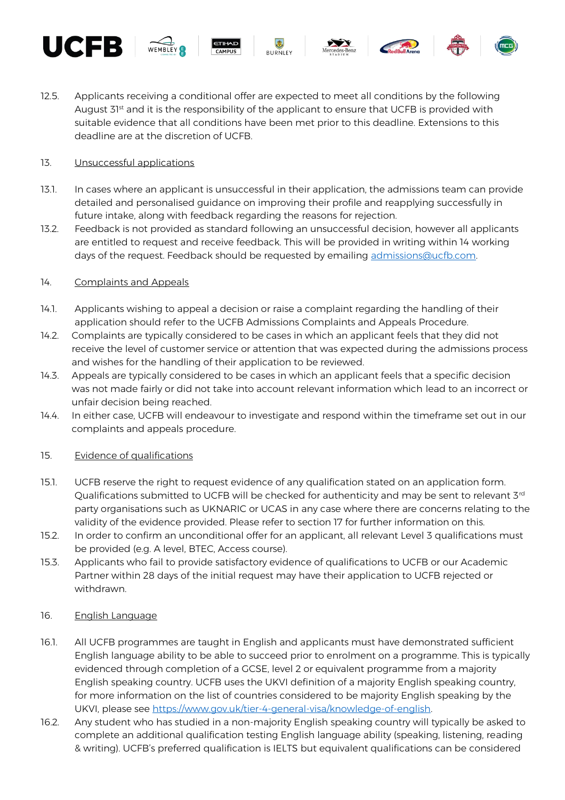











12.5. Applicants receiving a conditional offer are expected to meet all conditions by the following August 31<sup>st</sup> and it is the responsibility of the applicant to ensure that UCFB is provided with suitable evidence that all conditions have been met prior to this deadline. Extensions to this deadline are at the discretion of UCFB.

# 13. Unsuccessful applications

- 13.1. In cases where an applicant is unsuccessful in their application, the admissions team can provide detailed and personalised guidance on improving their profile and reapplying successfully in future intake, along with feedback regarding the reasons for rejection.
- 13.2. Feedback is not provided as standard following an unsuccessful decision, however all applicants are entitled to request and receive feedback. This will be provided in writing within 14 working days of the request. Feedback should be requested by emailing admissions@ucfb.com.

# 14. Complaints and Appeals

- 14.1. Applicants wishing to appeal a decision or raise a complaint regarding the handling of their application should refer to the UCFB Admissions Complaints and Appeals Procedure.
- 14.2. Complaints are typically considered to be cases in which an applicant feels that they did not receive the level of customer service or attention that was expected during the admissions process and wishes for the handling of their application to be reviewed.
- 14.3. Appeals are typically considered to be cases in which an applicant feels that a specific decision was not made fairly or did not take into account relevant information which lead to an incorrect or unfair decision being reached.
- 14.4. In either case, UCFB will endeavour to investigate and respond within the timeframe set out in our complaints and appeals procedure.

# 15. Evidence of qualifications

- 15.1. UCFB reserve the right to request evidence of any qualification stated on an application form. Qualifications submitted to UCFB will be checked for authenticity and may be sent to relevant 3<sup>rd</sup> party organisations such as UKNARIC or UCAS in any case where there are concerns relating to the validity of the evidence provided. Please refer to section 17 for further information on this.
- 15.2. In order to confirm an unconditional offer for an applicant, all relevant Level 3 qualifications must be provided (e.g. A level, BTEC, Access course).
- 15.3. Applicants who fail to provide satisfactory evidence of qualifications to UCFB or our Academic Partner within 28 days of the initial request may have their application to UCFB rejected or withdrawn.

#### 16. English Language

- 16.1. All UCFB programmes are taught in English and applicants must have demonstrated sufficient English language ability to be able to succeed prior to enrolment on a programme. This is typically evidenced through completion of a GCSE, level 2 or equivalent programme from a majority English speaking country. UCFB uses the UKVI definition of a majority English speaking country, for more information on the list of countries considered to be majority English speaking by the UKVI, please see [https://www.gov.uk/tier-4-general-visa/knowledge-of-english.](https://www.gov.uk/tier-4-general-visa/knowledge-of-english)
- 16.2. Any student who has studied in a non-majority English speaking country will typically be asked to complete an additional qualification testing English language ability (speaking, listening, reading & writing). UCFB's preferred qualification is IELTS but equivalent qualifications can be considered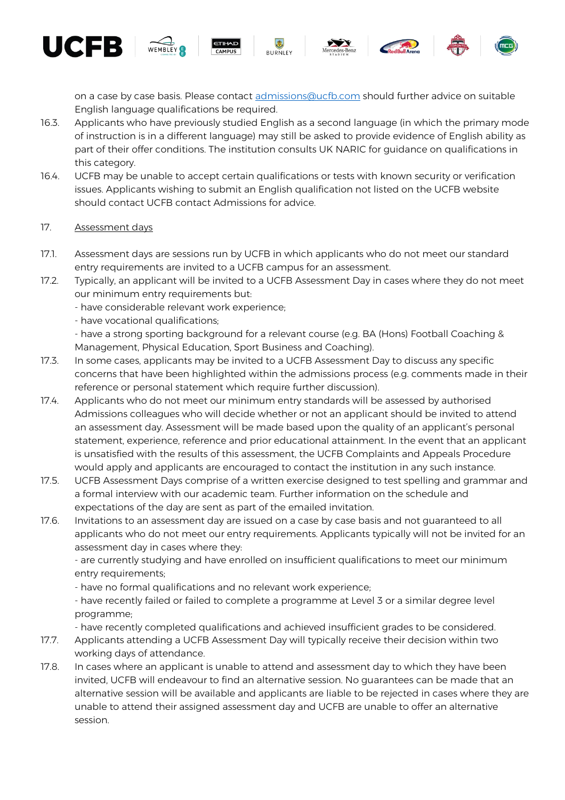on a case by case basis. Please contact [admissions@ucfb.com](mailto:admissions@ucfb.com) should further advice on suitable English language qualifications be required.

- 16.3. Applicants who have previously studied English as a second language (in which the primary mode of instruction is in a different language) may still be asked to provide evidence of English ability as part of their offer conditions. The institution consults UK NARIC for guidance on qualifications in this category.
- 16.4. UCFB may be unable to accept certain qualifications or tests with known security or verification issues. Applicants wishing to submit an English qualification not listed on the UCFB website should contact UCFB contact Admissions for advice.
- 17. Assessment days

UCFB.

- 17.1. Assessment days are sessions run by UCFB in which applicants who do not meet our standard entry requirements are invited to a UCFB campus for an assessment.
- 17.2. Typically, an applicant will be invited to a UCFB Assessment Day in cases where they do not meet our minimum entry requirements but:
	- have considerable relevant work experience;
	- have vocational qualifications;

- have a strong sporting background for a relevant course (e.g. BA (Hons) Football Coaching & Management, Physical Education, Sport Business and Coaching).

- 17.3. In some cases, applicants may be invited to a UCFB Assessment Day to discuss any specific concerns that have been highlighted within the admissions process (e.g. comments made in their reference or personal statement which require further discussion).
- 17.4. Applicants who do not meet our minimum entry standards will be assessed by authorised Admissions colleagues who will decide whether or not an applicant should be invited to attend an assessment day. Assessment will be made based upon the quality of an applicant's personal statement, experience, reference and prior educational attainment. In the event that an applicant is unsatisfied with the results of this assessment, the UCFB Complaints and Appeals Procedure would apply and applicants are encouraged to contact the institution in any such instance.
- 17.5. UCFB Assessment Days comprise of a written exercise designed to test spelling and grammar and a formal interview with our academic team. Further information on the schedule and expectations of the day are sent as part of the emailed invitation.
- 17.6. Invitations to an assessment day are issued on a case by case basis and not guaranteed to all applicants who do not meet our entry requirements. Applicants typically will not be invited for an assessment day in cases where they:

- are currently studying and have enrolled on insufficient qualifications to meet our minimum entry requirements;

- have no formal qualifications and no relevant work experience;

- have recently failed or failed to complete a programme at Level 3 or a similar degree level programme;

- have recently completed qualifications and achieved insufficient grades to be considered.

- 17.7. Applicants attending a UCFB Assessment Day will typically receive their decision within two working days of attendance.
- 17.8. In cases where an applicant is unable to attend and assessment day to which they have been invited, UCFB will endeavour to find an alternative session. No guarantees can be made that an alternative session will be available and applicants are liable to be rejected in cases where they are unable to attend their assigned assessment day and UCFB are unable to offer an alternative session.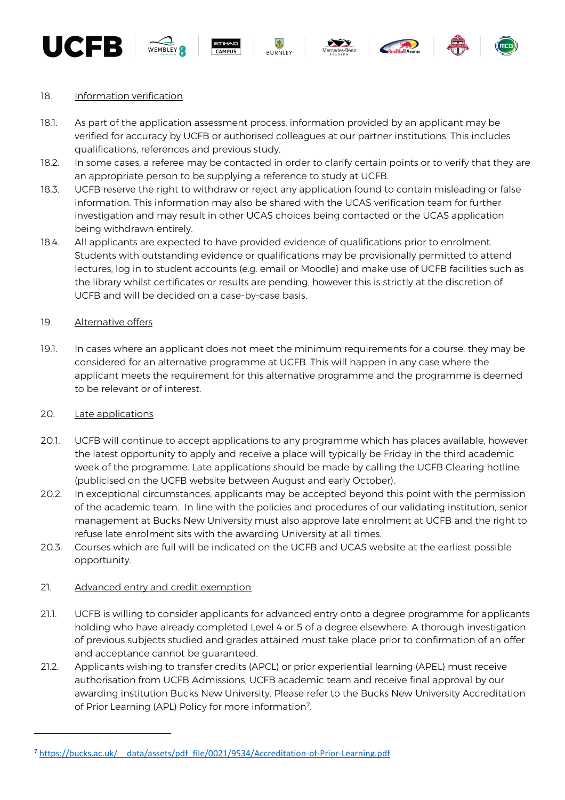











#### 18. Information verification

- 18.1. As part of the application assessment process, information provided by an applicant may be verified for accuracy by UCFB or authorised colleagues at our partner institutions. This includes qualifications, references and previous study.
- 18.2. In some cases, a referee may be contacted in order to clarify certain points or to verify that they are an appropriate person to be supplying a reference to study at UCFB.
- 18.3. UCFB reserve the right to withdraw or reject any application found to contain misleading or false information. This information may also be shared with the UCAS verification team for further investigation and may result in other UCAS choices being contacted or the UCAS application being withdrawn entirely.
- 18.4. All applicants are expected to have provided evidence of qualifications prior to enrolment. Students with outstanding evidence or qualifications may be provisionally permitted to attend lectures, log in to student accounts (e.g. email or Moodle) and make use of UCFB facilities such as the library whilst certificates or results are pending, however this is strictly at the discretion of UCFB and will be decided on a case-by-case basis.

#### 19. Alternative offers

19.1. In cases where an applicant does not meet the minimum requirements for a course, they may be considered for an alternative programme at UCFB. This will happen in any case where the applicant meets the requirement for this alternative programme and the programme is deemed to be relevant or of interest.

#### 20. Late applications

 $\overline{\phantom{a}}$ 

- 20.1. UCFB will continue to accept applications to any programme which has places available, however the latest opportunity to apply and receive a place will typically be Friday in the third academic week of the programme. Late applications should be made by calling the UCFB Clearing hotline (publicised on the UCFB website between August and early October).
- 20.2. In exceptional circumstances, applicants may be accepted beyond this point with the permission of the academic team. In line with the policies and procedures of our validating institution, senior management at Bucks New University must also approve late enrolment at UCFB and the right to refuse late enrolment sits with the awarding University at all times.
- 20.3. Courses which are full will be indicated on the UCFB and UCAS website at the earliest possible opportunity.

#### 21. Advanced entry and credit exemption

- 21.1. UCFB is willing to consider applicants for advanced entry onto a degree programme for applicants holding who have already completed Level 4 or 5 of a degree elsewhere. A thorough investigation of previous subjects studied and grades attained must take place prior to confirmation of an offer and acceptance cannot be guaranteed.
- 21.2. Applicants wishing to transfer credits (APCL) or prior experiential learning (APEL) must receive authorisation from UCFB Admissions, UCFB academic team and receive final approval by our awarding institution Bucks New University. Please refer to the Bucks New University Accreditation of Prior Learning (APL) Policy for more information<sup>7</sup>. .

<sup>7</sup> https://bucks.ac.uk/ data/assets/pdf\_file/0021/9534/Accreditation-of-Prior-Learning.pdf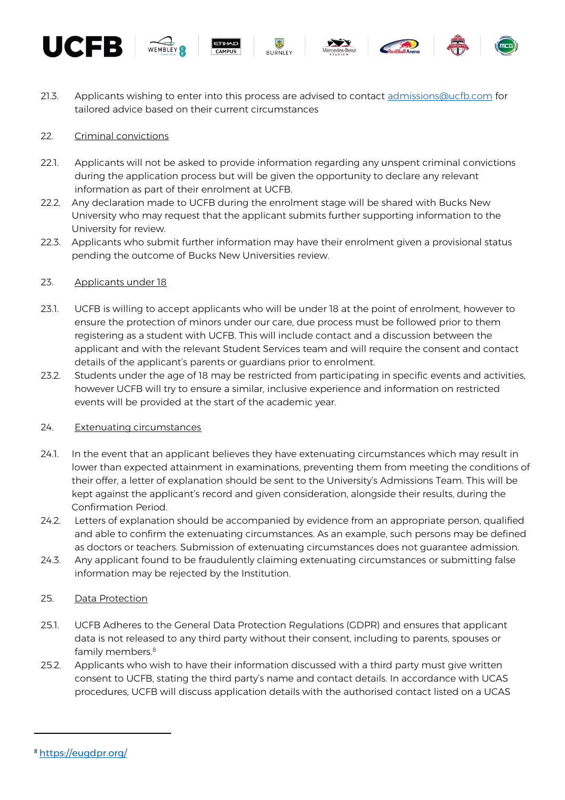











21.3. Applicants wishing to enter into this process are advised to contact [admissions@ucfb.com](mailto:admissions@ucfb.com) for tailored advice based on their current circumstances

# 22. Criminal convictions

- 22.1. Applicants will not be asked to provide information regarding any unspent criminal convictions during the application process but will be given the opportunity to declare any relevant information as part of their enrolment at UCFB.
- 22.2. Any declaration made to UCFB during the enrolment stage will be shared with Bucks New University who may request that the applicant submits further supporting information to the University for review.
- 22.3. Applicants who submit further information may have their enrolment given a provisional status pending the outcome of Bucks New Universities review.

#### 23. Applicants under 18

- 23.1. UCFB is willing to accept applicants who will be under 18 at the point of enrolment, however to ensure the protection of minors under our care, due process must be followed prior to them registering as a student with UCFB. This will include contact and a discussion between the applicant and with the relevant Student Services team and will require the consent and contact details of the applicant's parents or guardians prior to enrolment.
- 23.2. Students under the age of 18 may be restricted from participating in specific events and activities, however UCFB will try to ensure a similar, inclusive experience and information on restricted events will be provided at the start of the academic year.

#### 24. Extenuating circumstances

- 24.1. In the event that an applicant believes they have extenuating circumstances which may result in lower than expected attainment in examinations, preventing them from meeting the conditions of their offer, a letter of explanation should be sent to the University's Admissions Team. This will be kept against the applicant's record and given consideration, alongside their results, during the Confirmation Period.
- 24.2. Letters of explanation should be accompanied by evidence from an appropriate person, qualified and able to confirm the extenuating circumstances. As an example, such persons may be defined as doctors or teachers. Submission of extenuating circumstances does not guarantee admission.
- 24.3. Any applicant found to be fraudulently claiming extenuating circumstances or submitting false information may be rejected by the Institution.

# 25. Data Protection

- 25.1. UCFB Adheres to the General Data Protection Regulations (GDPR) and ensures that applicant data is not released to any third party without their consent, including to parents, spouses or family members.<sup>8</sup>
- 25.2. Applicants who wish to have their information discussed with a third party must give written consent to UCFB, stating the third party's name and contact details. In accordance with UCAS procedures, UCFB will discuss application details with the authorised contact listed on a UCAS

 $\overline{\phantom{a}}$ 

<sup>8</sup> <https://eugdpr.org/>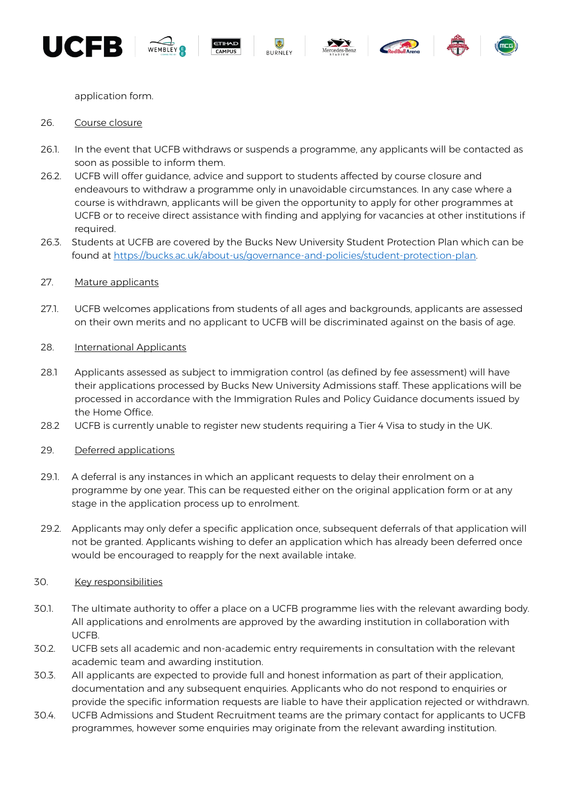













application form.

#### 26. Course closure

- 26.1. In the event that UCFB withdraws or suspends a programme, any applicants will be contacted as soon as possible to inform them.
- 26.2. UCFB will offer guidance, advice and support to students affected by course closure and endeavours to withdraw a programme only in unavoidable circumstances. In any case where a course is withdrawn, applicants will be given the opportunity to apply for other programmes at UCFB or to receive direct assistance with finding and applying for vacancies at other institutions if required.
- 26.3. Students at UCFB are covered by the Bucks New University Student Protection Plan which can be found at [https://bucks.ac.uk/about-us/governance-and-policies/student-protection-plan.](https://bucks.ac.uk/about-us/governance-and-policies/student-protection-plan)

#### 27. Mature applicants

27.1. UCFB welcomes applications from students of all ages and backgrounds, applicants are assessed on their own merits and no applicant to UCFB will be discriminated against on the basis of age.

#### 28. International Applicants

- 28.1 Applicants assessed as subject to immigration control (as defined by fee assessment) will have their applications processed by Bucks New University Admissions staff. These applications will be processed in accordance with the Immigration Rules and Policy Guidance documents issued by the Home Office.
- 28.2 UCFB is currently unable to register new students requiring a Tier 4 Visa to study in the UK.

#### 29. Deferred applications

- 29.1. A deferral is any instances in which an applicant requests to delay their enrolment on a programme by one year. This can be requested either on the original application form or at any stage in the application process up to enrolment.
- 29.2. Applicants may only defer a specific application once, subsequent deferrals of that application will not be granted. Applicants wishing to defer an application which has already been deferred once would be encouraged to reapply for the next available intake.

#### 30. Key responsibilities

- 30.1. The ultimate authority to offer a place on a UCFB programme lies with the relevant awarding body. All applications and enrolments are approved by the awarding institution in collaboration with UCFB.
- 30.2. UCFB sets all academic and non-academic entry requirements in consultation with the relevant academic team and awarding institution.
- 30.3. All applicants are expected to provide full and honest information as part of their application, documentation and any subsequent enquiries. Applicants who do not respond to enquiries or provide the specific information requests are liable to have their application rejected or withdrawn.
- 30.4. UCFB Admissions and Student Recruitment teams are the primary contact for applicants to UCFB programmes, however some enquiries may originate from the relevant awarding institution.